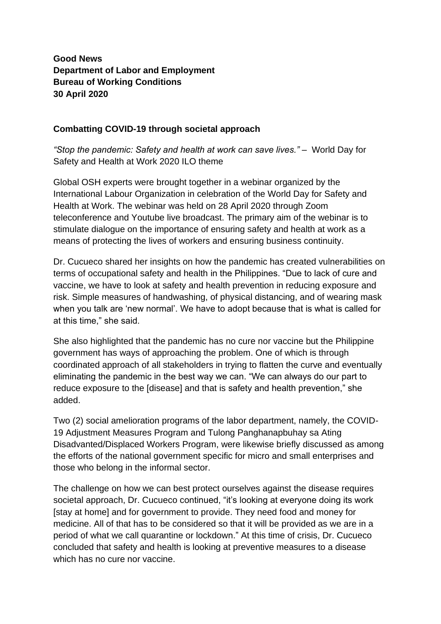## **Good News Department of Labor and Employment Bureau of Working Conditions 30 April 2020**

## **Combatting COVID-19 through societal approach**

*"Stop the pandemic: Safety and health at work can save lives."* – World Day for Safety and Health at Work 2020 ILO theme

Global OSH experts were brought together in a webinar organized by the International Labour Organization in celebration of the World Day for Safety and Health at Work. The webinar was held on 28 April 2020 through Zoom teleconference and Youtube live broadcast. The primary aim of the webinar is to stimulate dialogue on the importance of ensuring safety and health at work as a means of protecting the lives of workers and ensuring business continuity.

Dr. Cucueco shared her insights on how the pandemic has created vulnerabilities on terms of occupational safety and health in the Philippines. "Due to lack of cure and vaccine, we have to look at safety and health prevention in reducing exposure and risk. Simple measures of handwashing, of physical distancing, and of wearing mask when you talk are 'new normal'. We have to adopt because that is what is called for at this time," she said.

She also highlighted that the pandemic has no cure nor vaccine but the Philippine government has ways of approaching the problem. One of which is through coordinated approach of all stakeholders in trying to flatten the curve and eventually eliminating the pandemic in the best way we can. "We can always do our part to reduce exposure to the [disease] and that is safety and health prevention," she added.

Two (2) social amelioration programs of the labor department, namely, the COVID-19 Adjustment Measures Program and Tulong Panghanapbuhay sa Ating Disadvanted/Displaced Workers Program, were likewise briefly discussed as among the efforts of the national government specific for micro and small enterprises and those who belong in the informal sector.

The challenge on how we can best protect ourselves against the disease requires societal approach, Dr. Cucueco continued, "it's looking at everyone doing its work [stay at home] and for government to provide. They need food and money for medicine. All of that has to be considered so that it will be provided as we are in a period of what we call quarantine or lockdown." At this time of crisis, Dr. Cucueco concluded that safety and health is looking at preventive measures to a disease which has no cure nor vaccine.